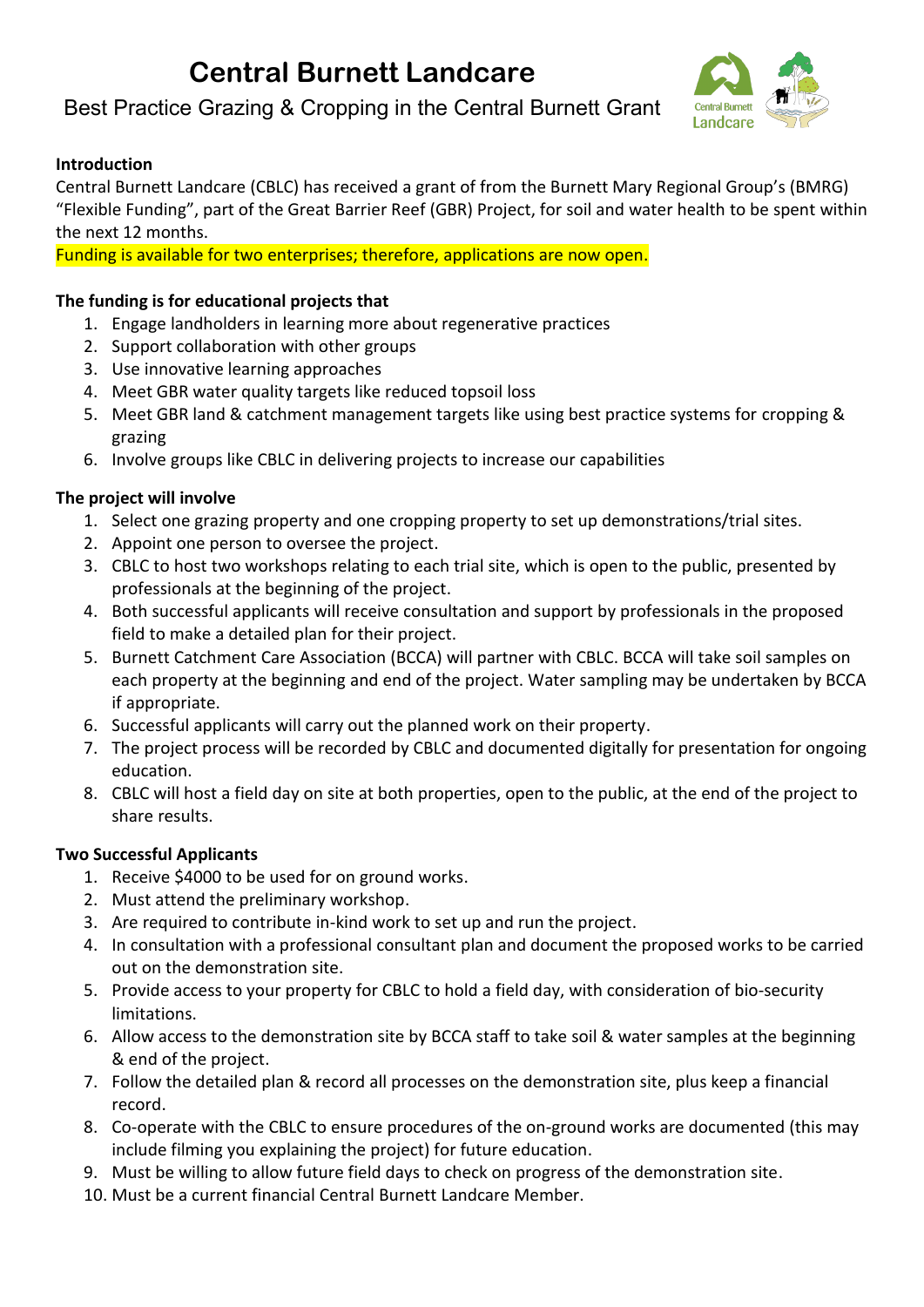# **Central Burnett Landcare**

### Best Practice Grazing & Cropping in the Central Burnett Grant



### **Introduction**

Central Burnett Landcare (CBLC) has received a grant of from the Burnett Mary Regional Group's (BMRG) "Flexible Funding", part of the Great Barrier Reef (GBR) Project, for soil and water health to be spent within the next 12 months.

Funding is available for two enterprises; therefore, applications are now open.

### **The funding is for educational projects that**

- 1. Engage landholders in learning more about regenerative practices
- 2. Support collaboration with other groups
- 3. Use innovative learning approaches
- 4. Meet GBR water quality targets like reduced topsoil loss
- 5. Meet GBR land & catchment management targets like using best practice systems for cropping & grazing
- 6. Involve groups like CBLC in delivering projects to increase our capabilities

### **The project will involve**

- 1. Select one grazing property and one cropping property to set up demonstrations/trial sites.
- 2. Appoint one person to oversee the project.
- 3. CBLC to host two workshops relating to each trial site, which is open to the public, presented by professionals at the beginning of the project.
- 4. Both successful applicants will receive consultation and support by professionals in the proposed field to make a detailed plan for their project.
- 5. Burnett Catchment Care Association (BCCA) will partner with CBLC. BCCA will take soil samples on each property at the beginning and end of the project. Water sampling may be undertaken by BCCA if appropriate.
- 6. Successful applicants will carry out the planned work on their property.
- 7. The project process will be recorded by CBLC and documented digitally for presentation for ongoing education.
- 8. CBLC will host a field day on site at both properties, open to the public, at the end of the project to share results.

### **Two Successful Applicants**

- 1. Receive \$4000 to be used for on ground works.
- 2. Must attend the preliminary workshop.
- 3. Are required to contribute in-kind work to set up and run the project.
- 4. In consultation with a professional consultant plan and document the proposed works to be carried out on the demonstration site.
- 5. Provide access to your property for CBLC to hold a field day, with consideration of bio-security limitations.
- 6. Allow access to the demonstration site by BCCA staff to take soil & water samples at the beginning & end of the project.
- 7. Follow the detailed plan & record all processes on the demonstration site, plus keep a financial record.
- 8. Co-operate with the CBLC to ensure procedures of the on-ground works are documented (this may include filming you explaining the project) for future education.
- 9. Must be willing to allow future field days to check on progress of the demonstration site.
- 10. Must be a current financial Central Burnett Landcare Member.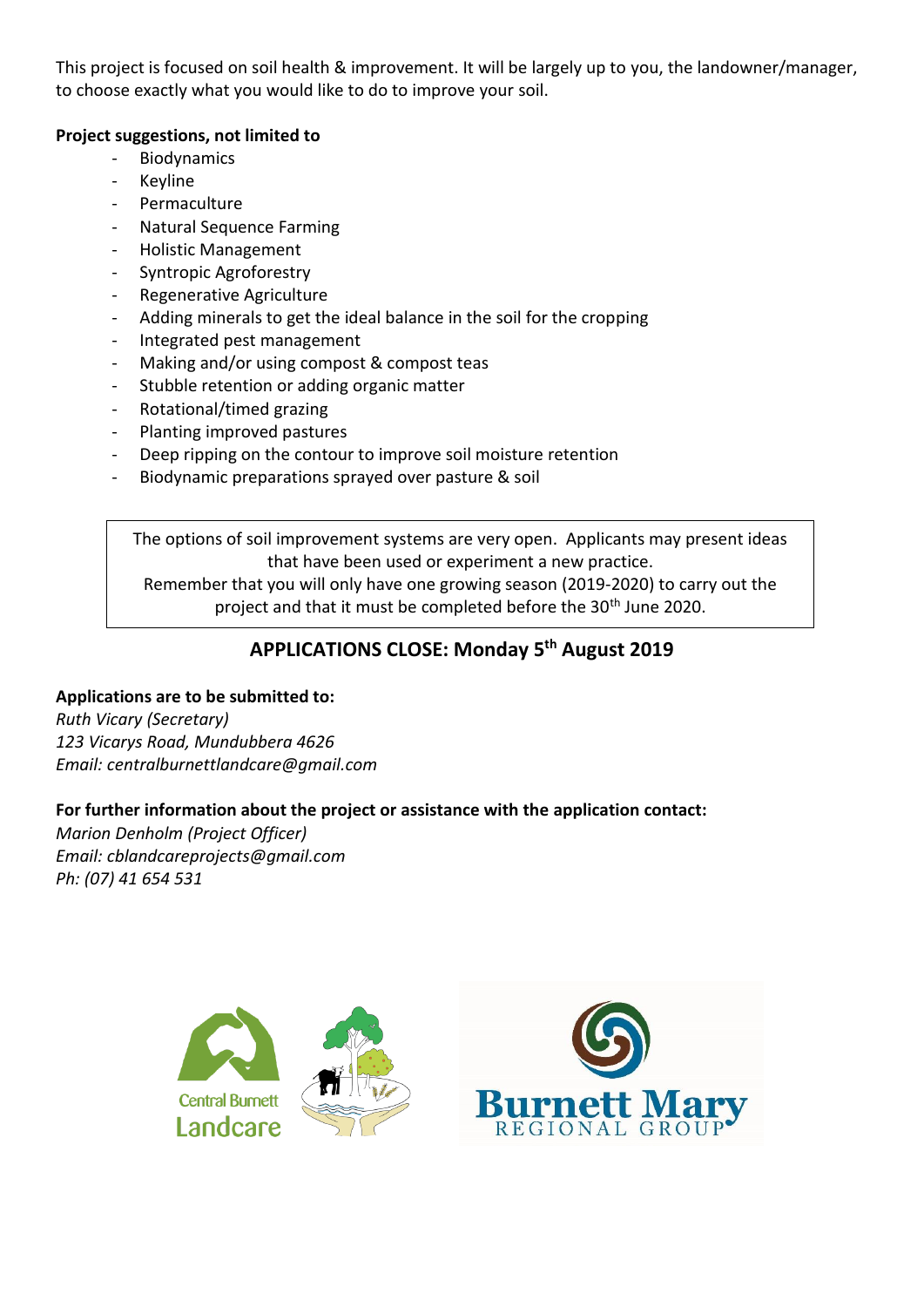This project is focused on soil health & improvement. It will be largely up to you, the landowner/manager, to choose exactly what you would like to do to improve your soil.

### **Project suggestions, not limited to**

- Biodynamics
- Keyline
- Permaculture
- Natural Sequence Farming
- Holistic Management
- Syntropic Agroforestry
- Regenerative Agriculture
- Adding minerals to get the ideal balance in the soil for the cropping
- Integrated pest management
- Making and/or using compost & compost teas
- Stubble retention or adding organic matter
- Rotational/timed grazing
- Planting improved pastures
- Deep ripping on the contour to improve soil moisture retention
- Biodynamic preparations sprayed over pasture & soil

The options of soil improvement systems are very open. Applicants may present ideas that have been used or experiment a new practice.

Remember that you will only have one growing season (2019-2020) to carry out the project and that it must be completed before the 30<sup>th</sup> June 2020.

### **APPLICATIONS CLOSE: Monday 5 th August 2019**

### **Applications are to be submitted to:**

*Ruth Vicary (Secretary) 123 Vicarys Road, Mundubbera 4626 Email: centralburnettlandcare@gmail.com*

### **For further information about the project or assistance with the application contact:**

*Marion Denholm (Project Officer) Email: cblandcareprojects@gmail.com Ph: (07) 41 654 531*

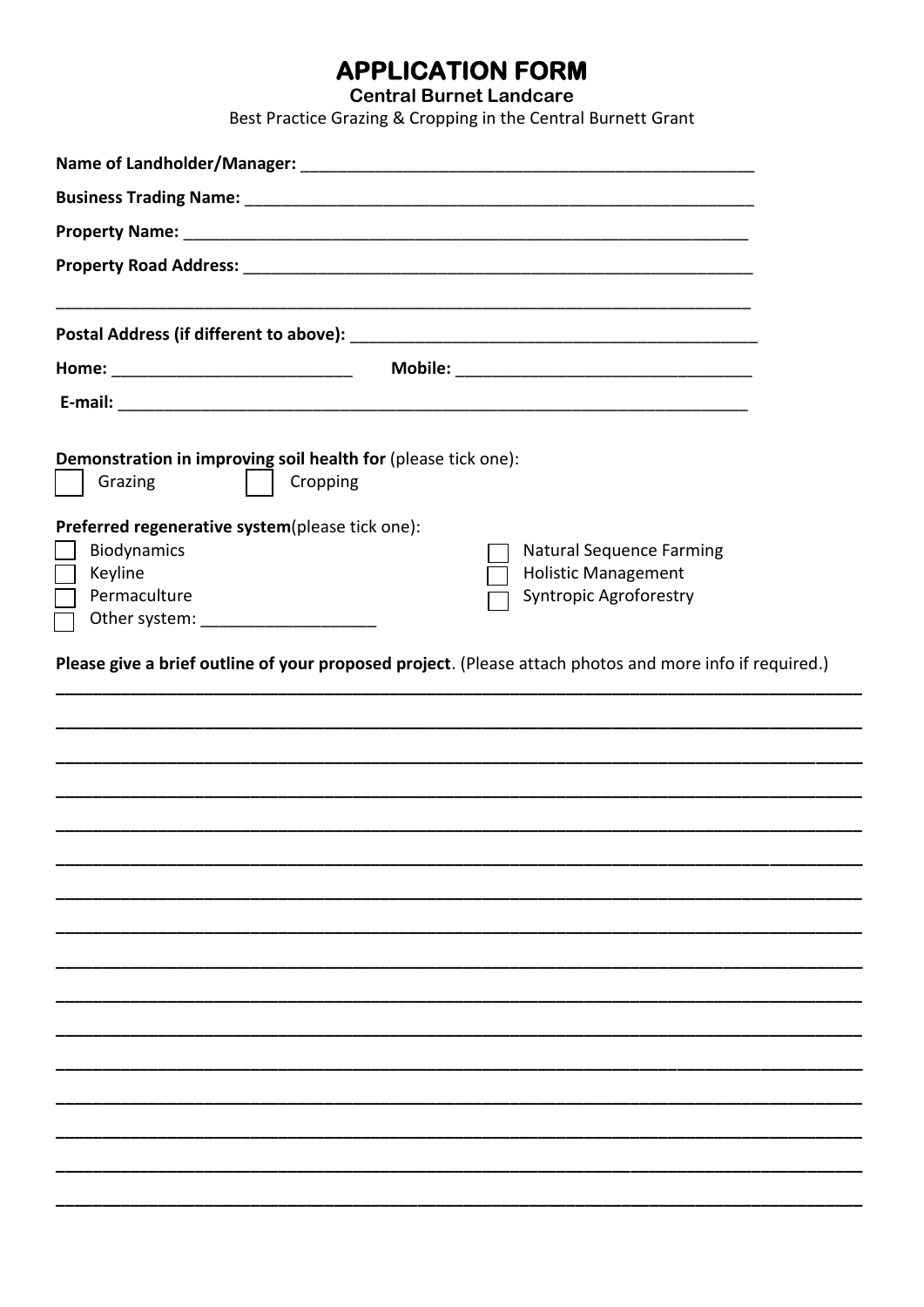## **APPLICATION FORM**

**Central Burnet Landcare** 

Best Practice Grazing & Cropping in the Central Burnett Grant

| Demonstration in improving soil health for (please tick one):<br>Grazing<br>Cropping                    |                                 |  |  |  |  |
|---------------------------------------------------------------------------------------------------------|---------------------------------|--|--|--|--|
| Preferred regenerative system(please tick one):                                                         |                                 |  |  |  |  |
| Biodynamics                                                                                             | <b>Natural Sequence Farming</b> |  |  |  |  |
| Keyline                                                                                                 | <b>Holistic Management</b>      |  |  |  |  |
| Permaculture                                                                                            | <b>Syntropic Agroforestry</b>   |  |  |  |  |
| Other system: ____________________                                                                      |                                 |  |  |  |  |
| Please give a brief outline of your proposed project. (Please attach photos and more info if required.) |                                 |  |  |  |  |
|                                                                                                         |                                 |  |  |  |  |
|                                                                                                         |                                 |  |  |  |  |
|                                                                                                         |                                 |  |  |  |  |
|                                                                                                         |                                 |  |  |  |  |
|                                                                                                         |                                 |  |  |  |  |
|                                                                                                         |                                 |  |  |  |  |
|                                                                                                         |                                 |  |  |  |  |
|                                                                                                         |                                 |  |  |  |  |
|                                                                                                         |                                 |  |  |  |  |
|                                                                                                         |                                 |  |  |  |  |
|                                                                                                         |                                 |  |  |  |  |
|                                                                                                         |                                 |  |  |  |  |
|                                                                                                         |                                 |  |  |  |  |
|                                                                                                         |                                 |  |  |  |  |